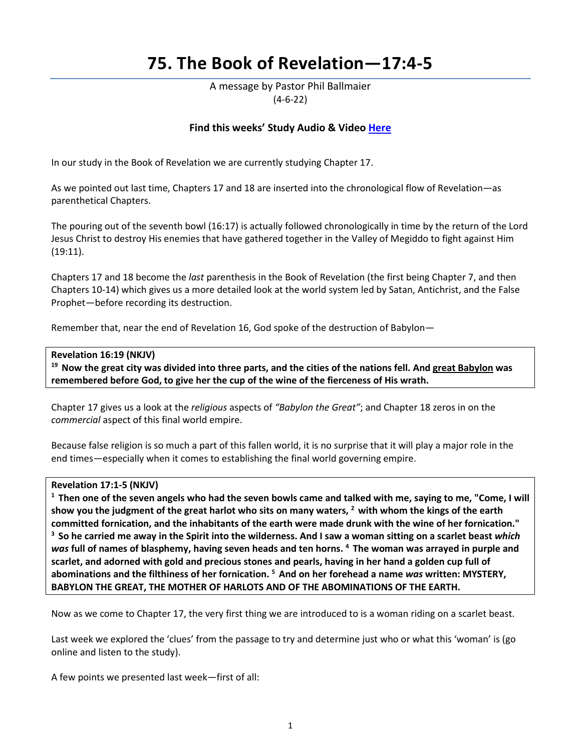# **75. The Book of Revelation—17:4-5**

A message by Pastor Phil Ballmaier (4-6-22)

# **Find this weeks' Study Audio & Video [Here](https://www.ccelkgrove.org/wednesdays)**

In our study in the Book of Revelation we are currently studying Chapter 17.

As we pointed out last time, Chapters 17 and 18 are inserted into the chronological flow of Revelation—as parenthetical Chapters.

The pouring out of the seventh bowl (16:17) is actually followed chronologically in time by the return of the Lord Jesus Christ to destroy His enemies that have gathered together in the Valley of Megiddo to fight against Him (19:11).

Chapters 17 and 18 become the *last* parenthesis in the Book of Revelation (the first being Chapter 7, and then Chapters 10-14) which gives us a more detailed look at the world system led by Satan, Antichrist, and the False Prophet—before recording its destruction.

Remember that, near the end of Revelation 16, God spoke of the destruction of Babylon—

#### **Revelation 16:19 (NKJV)**

**19 Now the great city was divided into three parts, and the cities of the nations fell. And great Babylon was remembered before God, to give her the cup of the wine of the fierceness of His wrath.**

Chapter 17 gives us a look at the *religious* aspects of *"Babylon the Great"*; and Chapter 18 zeros in on the *commercial* aspect of this final world empire.

Because false religion is so much a part of this fallen world, it is no surprise that it will play a major role in the end times—especially when it comes to establishing the final world governing empire.

Revelation 17:1-5 (NKJV)<br><sup>1</sup> Then one of the seven angels who had the seven bowls came and talked with me, saying to me, "Come, I will **show you the judgment of the great harlot who sits on many waters, 2 with whom the kings of the earth committed fornication, and the inhabitants of the earth were made drunk with the wine of her fornication." 3 So he carried me away in the Spirit into the wilderness. And I saw a woman sitting on a scarlet beast** *which was* **full of names of blasphemy, having seven heads and ten horns. 4 The woman was arrayed in purple and scarlet, and adorned with gold and precious stones and pearls, having in her hand a golden cup full of abominations and the filthiness of her fornication. 5 And on her forehead a name** *was* **written: MYSTERY, BABYLON THE GREAT, THE MOTHER OF HARLOTS AND OF THE ABOMINATIONS OF THE EARTH.** 

Now as we come to Chapter 17, the very first thing we are introduced to is a woman riding on a scarlet beast.

Last week we explored the 'clues' from the passage to try and determine just who or what this 'woman' is (go online and listen to the study).

A few points we presented last week—first of all: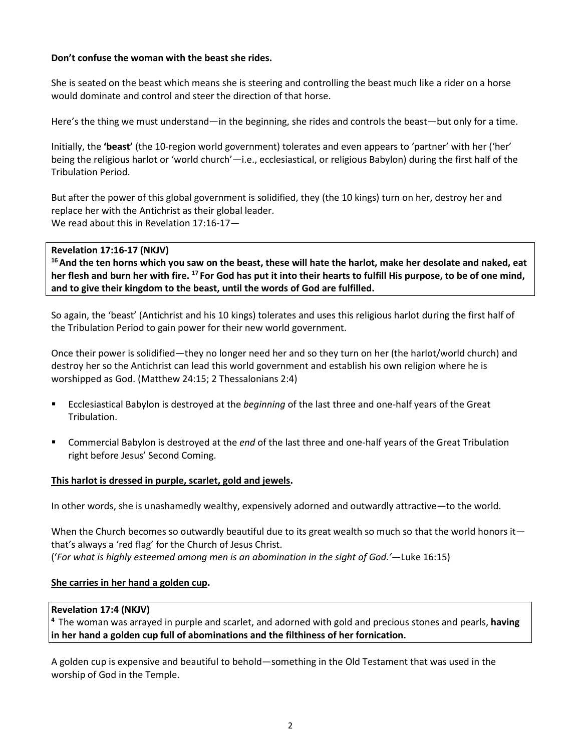# **Don't confuse the woman with the beast she rides.**

She is seated on the beast which means she is steering and controlling the beast much like a rider on a horse would dominate and control and steer the direction of that horse.

Here's the thing we must understand—in the beginning, she rides and controls the beast—but only for a time.

Initially, the **'beast'** (the 10-region world government) tolerates and even appears to 'partner' with her ('her' being the religious harlot or 'world church'—i.e., ecclesiastical, or religious Babylon) during the first half of the Tribulation Period.

But after the power of this global government is solidified, they (the 10 kings) turn on her, destroy her and replace her with the Antichrist as their global leader. We read about this in Revelation 17:16-17—

# **Revelation 17:16-17 (NKJV)**

**16 And the ten horns which you saw on the beast, these will hate the harlot, make her desolate and naked, eat her flesh and burn her with fire. 17 For God has put it into their hearts to fulfill His purpose, to be of one mind, and to give their kingdom to the beast, until the words of God are fulfilled.** 

So again, the 'beast' (Antichrist and his 10 kings) tolerates and uses this religious harlot during the first half of the Tribulation Period to gain power for their new world government.

Once their power is solidified—they no longer need her and so they turn on her (the harlot/world church) and destroy her so the Antichrist can lead this world government and establish his own religion where he is worshipped as God. (Matthew 24:15; 2 Thessalonians 2:4)

- Ecclesiastical Babylon is destroyed at the *beginning* of the last three and one-half years of the Great Tribulation.
- Commercial Babylon is destroyed at the *end* of the last three and one-half years of the Great Tribulation right before Jesus' Second Coming.

# **This harlot is dressed in purple, scarlet, gold and jewels.**

In other words, she is unashamedly wealthy, expensively adorned and outwardly attractive—to the world.

When the Church becomes so outwardly beautiful due to its great wealth so much so that the world honors it that's always a 'red flag' for the Church of Jesus Christ. ('*For what is highly esteemed among men is an abomination in the sight of God.'*—Luke 16:15)

# **She carries in her hand a golden cup.**

# **Revelation 17:4 (NKJV)**

**<sup>4</sup>**The woman was arrayed in purple and scarlet, and adorned with gold and precious stones and pearls, **having in her hand a golden cup full of abominations and the filthiness of her fornication.**

A golden cup is expensive and beautiful to behold—something in the Old Testament that was used in the worship of God in the Temple.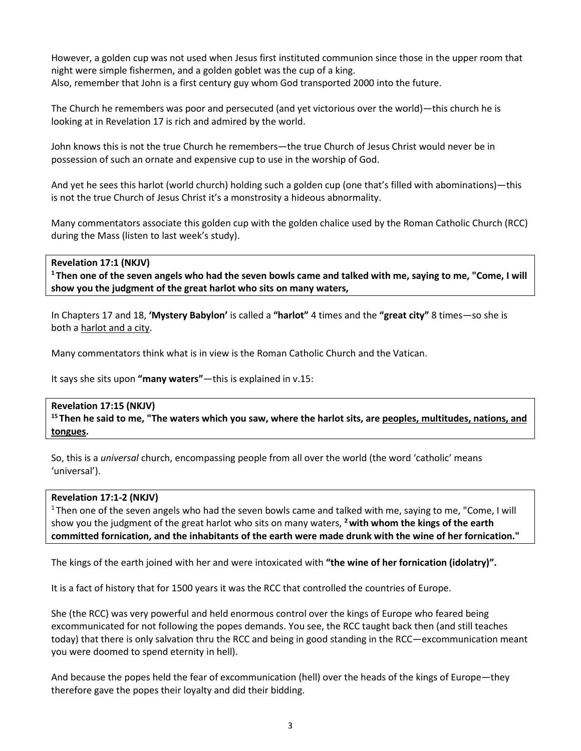However, a golden cup was not used when Jesus first instituted communion since those in the upper room that night were simple fishermen, and a golden goblet was the cup of a king. Also, remember that John is a first century guy whom God transported 2000 into the future.

The Church he remembers was poor and persecuted (and yet victorious over the world)—this church he is looking at in Revelation 17 is rich and admired by the world.

John knows this is not the true Church he remembers—the true Church of Jesus Christ would never be in possession of such an ornate and expensive cup to use in the worship of God.

And yet he sees this harlot (world church) holding such a golden cup (one that's filled with abominations)—this is not the true Church of Jesus Christ it's a monstrosity a hideous abnormality.

Many commentators associate this golden cup with the golden chalice used by the Roman Catholic Church (RCC) during the Mass (listen to last week's study).

# **Revelation 17:1 (NKJV)**

**1 Then one of the seven angels who had the seven bowls came and talked with me, saying to me, "Come, I will show you the judgment of the great harlot who sits on many waters,** 

In Chapters 17 and 18, **'Mystery Babylon'** is called a **"harlot"** 4 times and the **"great city"** 8 times—so she is both a harlot and a city.

Many commentators think what is in view is the Roman Catholic Church and the Vatican.

It says she sits upon **"many waters"**—this is explained in v.15:

# **Revelation 17:15 (NKJV)**

**15 Then he said to me, "The waters which you saw, where the harlot sits, are peoples, multitudes, nations, and tongues.** 

So, this is a *universal* church, encompassing people from all over the world (the word 'catholic' means 'universal').

# **Revelation 17:1-2 (NKJV)**

1 Then one of the seven angels who had the seven bowls came and talked with me, saying to me, "Come, I will show you the judgment of the great harlot who sits on many waters, **2 with whom the kings of the earth committed fornication, and the inhabitants of the earth were made drunk with the wine of her fornication."** 

The kings of the earth joined with her and were intoxicated with **"the wine of her fornication (idolatry)".**

It is a fact of history that for 1500 years it was the RCC that controlled the countries of Europe.

She (the RCC) was very powerful and held enormous control over the kings of Europe who feared being excommunicated for not following the popes demands. You see, the RCC taught back then (and still teaches today) that there is only salvation thru the RCC and being in good standing in the RCC—excommunication meant you were doomed to spend eternity in hell).

And because the popes held the fear of excommunication (hell) over the heads of the kings of Europe—they therefore gave the popes their loyalty and did their bidding.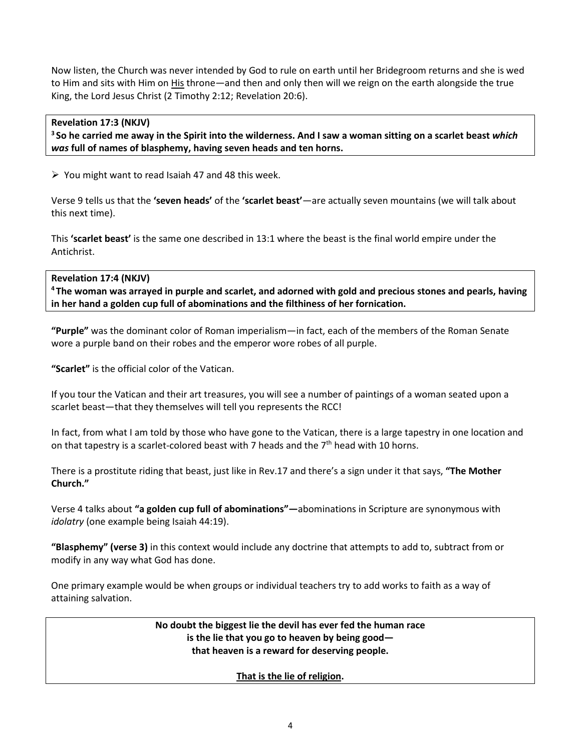Now listen, the Church was never intended by God to rule on earth until her Bridegroom returns and she is wed to Him and sits with Him on His throne—and then and only then will we reign on the earth alongside the true King, the Lord Jesus Christ (2 Timothy 2:12; Revelation 20:6).

# **Revelation 17:3 (NKJV)**

**3 So he carried me away in the Spirit into the wilderness. And I saw a woman sitting on a scarlet beast** *which was* **full of names of blasphemy, having seven heads and ten horns.** 

 $\triangleright$  You might want to read Isaiah 47 and 48 this week.

Verse 9 tells us that the **'seven heads'** of the **'scarlet beast'**—are actually seven mountains (we will talk about this next time).

This **'scarlet beast'** is the same one described in 13:1 where the beast is the final world empire under the Antichrist.

# **Revelation 17:4 (NKJV)**

**4 The woman was arrayed in purple and scarlet, and adorned with gold and precious stones and pearls, having in her hand a golden cup full of abominations and the filthiness of her fornication.** 

**"Purple"** was the dominant color of Roman imperialism—in fact, each of the members of the Roman Senate wore a purple band on their robes and the emperor wore robes of all purple.

**"Scarlet"** is the official color of the Vatican.

If you tour the Vatican and their art treasures, you will see a number of paintings of a woman seated upon a scarlet beast—that they themselves will tell you represents the RCC!

In fact, from what I am told by those who have gone to the Vatican, there is a large tapestry in one location and on that tapestry is a scarlet-colored beast with 7 heads and the  $7<sup>th</sup>$  head with 10 horns.

There is a prostitute riding that beast, just like in Rev.17 and there's a sign under it that says, **"The Mother Church."**

Verse 4 talks about **"a golden cup full of abominations"—**abominations in Scripture are synonymous with *idolatry* (one example being Isaiah 44:19).

**"Blasphemy" (verse 3)** in this context would include any doctrine that attempts to add to, subtract from or modify in any way what God has done.

One primary example would be when groups or individual teachers try to add works to faith as a way of attaining salvation.

> **No doubt the biggest lie the devil has ever fed the human race is the lie that you go to heaven by being good that heaven is a reward for deserving people.**

> > **That is the lie of religion.**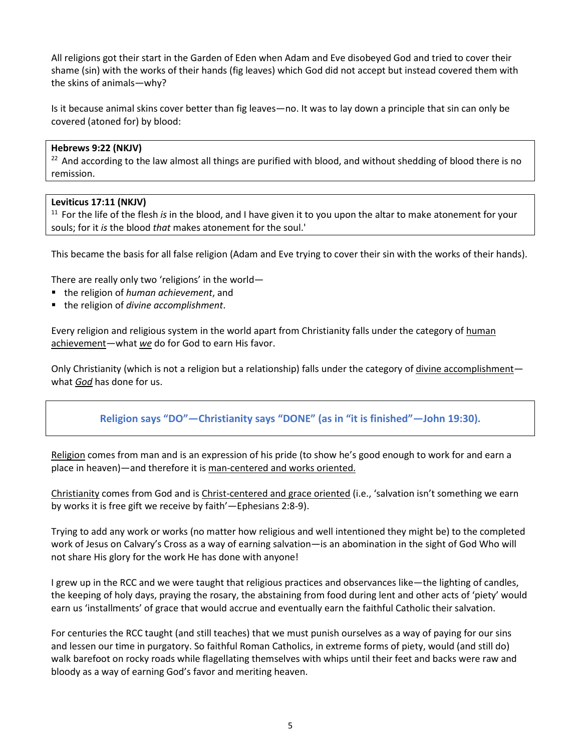All religions got their start in the Garden of Eden when Adam and Eve disobeyed God and tried to cover their shame (sin) with the works of their hands (fig leaves) which God did not accept but instead covered them with the skins of animals—why?

Is it because animal skins cover better than fig leaves—no. It was to lay down a principle that sin can only be covered (atoned for) by blood:

# **Hebrews 9:22 (NKJV)**

 $22$  And according to the law almost all things are purified with blood, and without shedding of blood there is no remission.

#### **Leviticus 17:11 (NKJV)**

11 For the life of the flesh *is* in the blood, and I have given it to you upon the altar to make atonement for your souls; for it *is* the blood *that* makes atonement for the soul.'

This became the basis for all false religion (Adam and Eve trying to cover their sin with the works of their hands).

There are really only two 'religions' in the world—

- the religion of *human achievement*, and
- the religion of *divine accomplishment*.

Every religion and religious system in the world apart from Christianity falls under the category of human achievement—what *we* do for God to earn His favor.

Only Christianity (which is not a religion but a relationship) falls under the category of divine accomplishmentwhat *God* has done for us.

# **Religion says "DO"—Christianity says "DONE" (as in "it is finished"—John 19:30).**

Religion comes from man and is an expression of his pride (to show he's good enough to work for and earn a place in heaven)—and therefore it is man-centered and works oriented.

Christianity comes from God and is Christ-centered and grace oriented (i.e., 'salvation isn't something we earn by works it is free gift we receive by faith'—Ephesians 2:8-9).

Trying to add any work or works (no matter how religious and well intentioned they might be) to the completed work of Jesus on Calvary's Cross as a way of earning salvation—is an abomination in the sight of God Who will not share His glory for the work He has done with anyone!

I grew up in the RCC and we were taught that religious practices and observances like—the lighting of candles, the keeping of holy days, praying the rosary, the abstaining from food during lent and other acts of 'piety' would earn us 'installments' of grace that would accrue and eventually earn the faithful Catholic their salvation.

For centuries the RCC taught (and still teaches) that we must punish ourselves as a way of paying for our sins and lessen our time in purgatory. So faithful Roman Catholics, in extreme forms of piety, would (and still do) walk barefoot on rocky roads while flagellating themselves with whips until their feet and backs were raw and bloody as a way of earning God's favor and meriting heaven.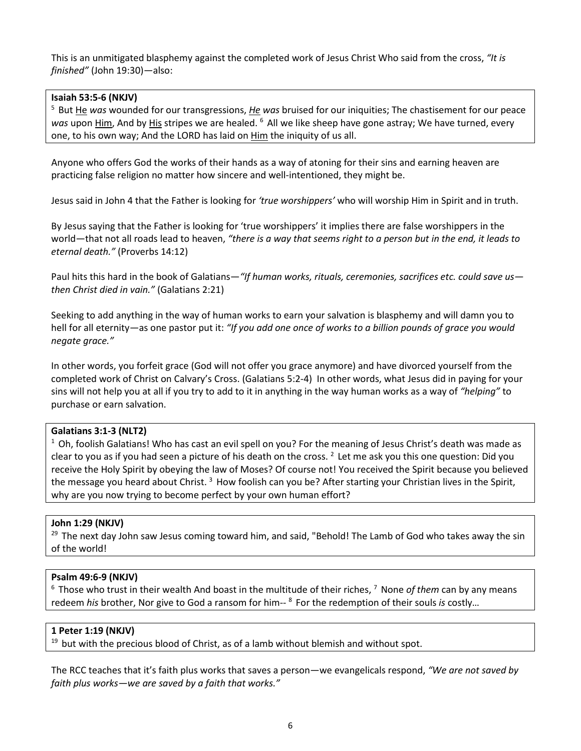This is an unmitigated blasphemy against the completed work of Jesus Christ Who said from the cross, *"It is finished"* (John 19:30)—also:

#### **Isaiah 53:5-6 (NKJV)**

5 But He *was* wounded for our transgressions, *He was* bruised for our iniquities; The chastisement for our peace *was* upon Him, And by His stripes we are healed. 6 All we like sheep have gone astray; We have turned, every one, to his own way; And the LORD has laid on Him the iniquity of us all.

Anyone who offers God the works of their hands as a way of atoning for their sins and earning heaven are practicing false religion no matter how sincere and well-intentioned, they might be.

Jesus said in John 4 that the Father is looking for *'true worshippers'* who will worship Him in Spirit and in truth.

By Jesus saying that the Father is looking for 'true worshippers' it implies there are false worshippers in the world—that not all roads lead to heaven, *"there is a way that seems right to a person but in the end, it leads to eternal death."* (Proverbs 14:12)

Paul hits this hard in the book of Galatians—*"If human works, rituals, ceremonies, sacrifices etc. could save us then Christ died in vain."* (Galatians 2:21)

Seeking to add anything in the way of human works to earn your salvation is blasphemy and will damn you to hell for all eternity—as one pastor put it: *"If you add one once of works to a billion pounds of grace you would negate grace."*

In other words, you forfeit grace (God will not offer you grace anymore) and have divorced yourself from the completed work of Christ on Calvary's Cross. (Galatians 5:2-4) In other words, what Jesus did in paying for your sins will not help you at all if you try to add to it in anything in the way human works as a way of *"helping"* to purchase or earn salvation.

#### **Galatians 3:1-3 (NLT2)**

 $1$  Oh, foolish Galatians! Who has cast an evil spell on you? For the meaning of Jesus Christ's death was made as clear to you as if you had seen a picture of his death on the cross.  $^2$  Let me ask you this one question: Did you receive the Holy Spirit by obeying the law of Moses? Of course not! You received the Spirit because you believed the message you heard about Christ.<sup>3</sup> How foolish can you be? After starting your Christian lives in the Spirit, why are you now trying to become perfect by your own human effort?

#### **John 1:29 (NKJV)**

 $29$  The next day John saw Jesus coming toward him, and said, "Behold! The Lamb of God who takes away the sin of the world!

# **Psalm 49:6-9 (NKJV)**

<sup>6</sup> Those who trust in their wealth And boast in the multitude of their riches, <sup>7</sup> None of them can by any means redeem *his* brother, Nor give to God a ransom for him-- 8 For the redemption of their souls *is* costly…

#### **1 Peter 1:19 (NKJV)**

 $19$  but with the precious blood of Christ, as of a lamb without blemish and without spot.

The RCC teaches that it's faith plus works that saves a person—we evangelicals respond, *"We are not saved by faith plus works—we are saved by a faith that works."*